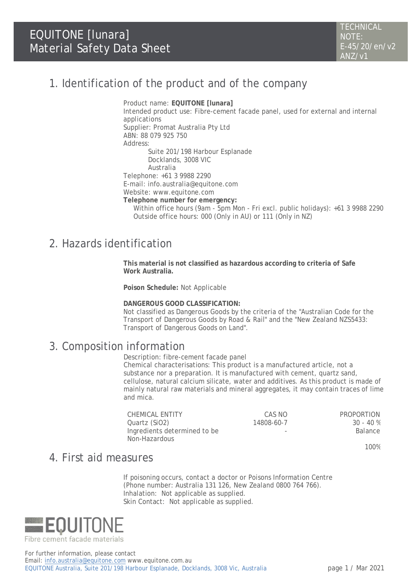## 1. Identification of the product and of the company

Product name: **EQUITONE [lunara]** Intended product use: Fibre-cement facade panel, used for external and internal applications Supplier: Promat Australia Pty Ltd ABN: 88 079 925 750 Address: Suite 201/198 Harbour Esplanade Docklands, 3008 VIC Australia Telephone: +61 3 9988 2290 E-mail: [info.australia@equitone.com](mailto:info.australia@equitone.com) Website: www.equitone.com **Telephone number for emergency:** Within office hours (9am - 5pm Mon - Fri excl. public holidays): +61 3 9988 2290 Outside office hours: 000 (Only in AU) or 111 (Only in NZ)

## 2. Hazards identification

**This material is not classified as hazardous according to criteria of Safe Work Australia.**

**Poison Schedule:** Not Applicable

**DANGEROUS GOOD CLASSIFICATION:**

Not classified as Dangerous Goods by the criteria of the "Australian Code for the Transport of Dangerous Goods by Road & Rail" and the "New Zealand NZS5433: Transport of Dangerous Goods on Land".

#### 3. Composition information

Description: fibre-cement facade panel

Chemical characterisations: This product is a manufactured article, not a substance nor a preparation. It is manufactured with cement, quartz sand, cellulose, natural calcium silicate, water and additives. As this product is made of mainly natural raw materials and mineral aggregates, it may contain traces of lime and mica.

| CHEMICAL ENTITY              | CAS NO                   | <b>PROPORTION</b>                  |
|------------------------------|--------------------------|------------------------------------|
| Quartz (SiO2)                | 14808-60-7               | 30 - 40 %                          |
| Ingredients determined to be | $\overline{\phantom{a}}$ | Balance                            |
| Non-Hazardous                |                          |                                    |
|                              |                          | $\sim$ $\sim$ $\sim$ $\sim$ $\sim$ |

100%

## 4. First aid measures

If poisoning occurs, contact a doctor or Poisons Information Centre (Phone number: Australia 131 126, New Zealand 0800 764 766). Inhalation: Not applicable as supplied. Skin Contact: Not applicable as supplied.



For further information, please contact Email: info.australia@equitone.com www.equitone.com.au EQUITONE Australia, Suite 201/198 Harbour Esplanade, Docklands, 3008 Vic, Australia page 1 / Mar 2021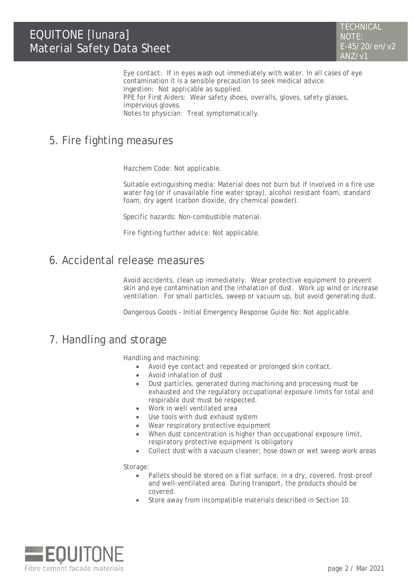Eye contact: If in eyes wash out immediately with water. In all cases of eye contamination it is a sensible precaution to seek medical advice. Ingestion: Not applicable as supplied.

PPE for First Aiders: Wear safety shoes, overalls, gloves, safety glasses, impervious gloves.

Notes to physician: Treat symptomatically.

## 5. Fire fighting measures

Hazchem Code: Not applicable.

Suitable extinguishing media: Material does not burn but if involved in a fire use water fog (or if unavailable fine water spray), alcohol resistant foam, standard foam, dry agent (carbon dioxide, dry chemical powder).

Specific hazards: Non-combustible material.

Fire fighting further advice: Not applicable.

#### 6. Accidental release measures

Avoid accidents, clean up immediately. Wear protective equipment to prevent skin and eye contamination and the inhalation of dust. Work up wind or increase ventilation. For small particles, sweep or vacuum up, but avoid generating dust.

Dangerous Goods - Initial Emergency Response Guide No: Not applicable.

## 7. Handling and storage

Handling and machining:

- Avoid eye contact and repeated or prolonged skin contact.
- Avoid inhalation of dust
- Dust particles, generated during machining and processing must be exhausted and the regulatory occupational exposure limits for total and respirable dust must be respected.
- Work in well ventilated area
- Use tools with dust exhaust system
- Wear respiratory protective equipment
- When dust concentration is higher than occupational exposure limit, respiratory protective equipment is obligatory
- Collect dust with a vacuum cleaner; hose down or wet sweep work areas

Storage:

- Pallets should be stored on a flat surface, in a dry, covered, frost-proof and well-ventilated area. During transport, the products should be covered.
- Store away from incompatible materials described in Section 10.

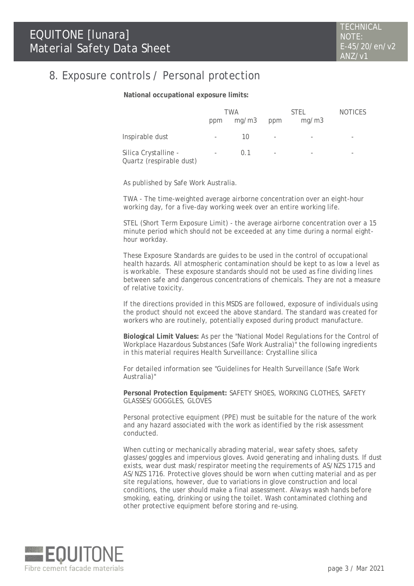### 8. Exposure controls / Personal protection

**National occupational exposure limits:**

|                                                  | TWA                      |       | <b>STEL</b>                  |       | <b>NOTICES</b> |
|--------------------------------------------------|--------------------------|-------|------------------------------|-------|----------------|
|                                                  | ppm                      | mq/m3 | ppm                          | mq/m3 |                |
| Inspirable dust                                  | $\overline{\phantom{a}}$ | 10    | -                            |       |                |
| Silica Crystalline -<br>Quartz (respirable dust) | $\overline{\phantom{a}}$ | 01    | $\qquad \qquad \blacksquare$ |       |                |

As published by Safe Work Australia.

TWA - The time-weighted average airborne concentration over an eight-hour working day, for a five-day working week over an entire working life.

STEL (Short Term Exposure Limit) - the average airborne concentration over a 15 minute period which should not be exceeded at any time during a normal eighthour workday.

These Exposure Standards are guides to be used in the control of occupational health hazards. All atmospheric contamination should be kept to as low a level as is workable. These exposure standards should not be used as fine dividing lines between safe and dangerous concentrations of chemicals. They are not a measure of relative toxicity.

If the directions provided in this MSDS are followed, exposure of individuals using the product should not exceed the above standard. The standard was created for workers who are routinely, potentially exposed during product manufacture.

**Biological Limit Values:** As per the "National Model Regulations for the Control of Workplace Hazardous Substances (Safe Work Australia)" the following ingredients in this material requires Health Surveillance: Crystalline silica

For detailed information see "Guidelines for Health Surveillance (Safe Work Australia)"

**Personal Protection Equipment:** SAFETY SHOES, WORKING CLOTHES, SAFETY GLASSES/GOGGLES, GLOVES

Personal protective equipment (PPE) must be suitable for the nature of the work and any hazard associated with the work as identified by the risk assessment conducted.

When cutting or mechanically abrading material, wear safety shoes, safety glasses/goggles and impervious gloves. Avoid generating and inhaling dusts. If dust exists, wear dust mask/respirator meeting the requirements of AS/NZS 1715 and AS/NZS 1716. Protective gloves should be worn when cutting material and as per site regulations, however, due to variations in glove construction and local conditions, the user should make a final assessment. Always wash hands before smoking, eating, drinking or using the toilet. Wash contaminated clothing and other protective equipment before storing and re-using.

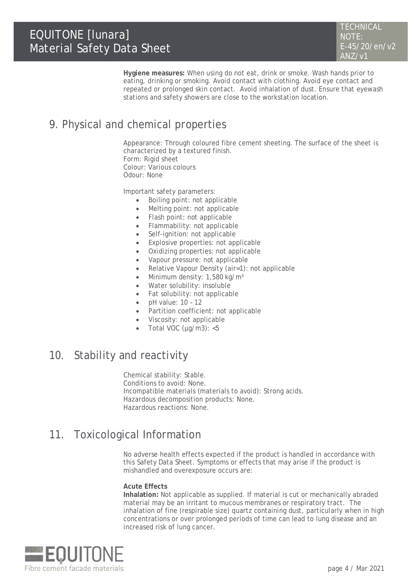**Hygiene measures:** When using do not eat, drink or smoke. Wash hands prior to eating, drinking or smoking. Avoid contact with clothing. Avoid eye contact and repeated or prolonged skin contact. Avoid inhalation of dust. Ensure that eyewash stations and safety showers are close to the workstation location.

# 9. Physical and chemical properties

Appearance: Through coloured fibre cement sheeting. The surface of the sheet is characterized by a textured finish. Form: Rigid sheet Colour: Various colours Odour: None

Important safety parameters:

- Boiling point: not applicable
- Melting point: not applicable
- Flash point: not applicable
- Flammability: not applicable
- Self-ignition: not applicable
- Explosive properties: not applicable
- Oxidizing properties: not applicable
- Vapour pressure: not applicable
- Relative Vapour Density (air=1): not applicable
- Minimum density: 1,580 kg/m<sup>3</sup>
- Water solubility: insoluble
- Fat solubility: not applicable
- $\bullet$  pH value: 10 12
- Partition coefficient: not applicable
- Viscosity: not applicable
- Total VOC ( $\mu$ g/m3): <5

#### 10. Stability and reactivity

Chemical stability: Stable. Conditions to avoid: None. Incompatible materials (materials to avoid): Strong acids. Hazardous decomposition products: None. Hazardous reactions: None.

## 11. Toxicological Information

No adverse health effects expected if the product is handled in accordance with this Safety Data Sheet. Symptoms or effects that may arise if the product is mishandled and overexposure occurs are:

#### **Acute Effects**

**Inhalation:** Not applicable as supplied. If material is cut or mechanically abraded material may be an irritant to mucous membranes or respiratory tract. The inhalation of fine (respirable size) quartz containing dust, particularly when in high concentrations or over prolonged periods of time can lead to lung disease and an increased risk of lung cancer.

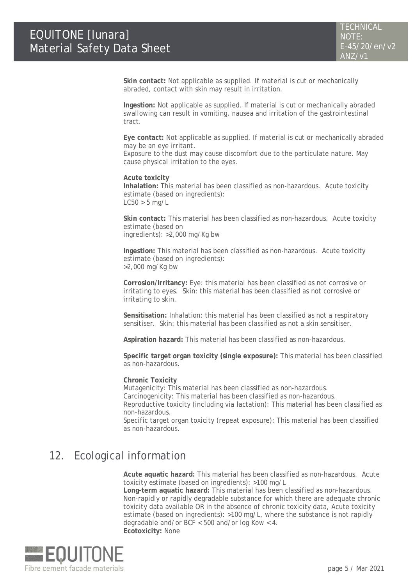**Skin contact:** Not applicable as supplied. If material is cut or mechanically abraded, contact with skin may result in irritation.

**Ingestion:** Not applicable as supplied. If material is cut or mechanically abraded swallowing can result in vomiting, nausea and irritation of the gastrointestinal tract.

**Eye contact:** Not applicable as supplied. If material is cut or mechanically abraded may be an eye irritant.

Exposure to the dust may cause discomfort due to the particulate nature. May cause physical irritation to the eyes.

**Acute toxicity Inhalation:** This material has been classified as non-hazardous. Acute toxicity estimate (based on ingredients):  $LC50 > 5$  mg/L

**Skin contact:** This material has been classified as non-hazardous. Acute toxicity estimate (based on ingredients): >2,000 mg/Kg bw

**Ingestion:** This material has been classified as non-hazardous. Acute toxicity estimate (based on ingredients): >2,000 mg/Kg bw

**Corrosion/Irritancy:** Eye: this material has been classified as not corrosive or irritating to eyes. Skin: this material has been classified as not corrosive or irritating to skin.

**Sensitisation:** Inhalation: this material has been classified as not a respiratory sensitiser. Skin: this material has been classified as not a skin sensitiser.

**Aspiration hazard:** This material has been classified as non-hazardous.

**Specific target organ toxicity (single exposure):** This material has been classified as non-hazardous.

**Chronic Toxicity**

Mutagenicity: This material has been classified as non-hazardous.

Carcinogenicity: This material has been classified as non-hazardous.

Reproductive toxicity (including via lactation): This material has been classified as non-hazardous.

Specific target organ toxicity (repeat exposure): This material has been classified as non-hazardous.

## 12. Ecological information

**Acute aquatic hazard:** This material has been classified as non-hazardous. Acute toxicity estimate (based on ingredients): >100 mg/L

**Long-term aquatic hazard:** This material has been classified as non-hazardous. Non-rapidly or rapidly degradable substance for which there are adequate chronic toxicity data available OR in the absence of chronic toxicity data, Acute toxicity estimate (based on ingredients): >100 mg/L, where the substance is not rapidly degradable and/or BCF < 500 and/or log Kow < 4. **Ecotoxicity:** None

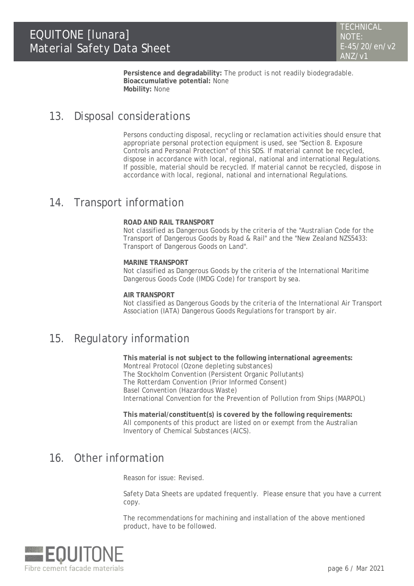**Persistence and degradability:** The product is not readily biodegradable. **Bioaccumulative potential:** None **Mobility:** None

#### 13. Disposal considerations

Persons conducting disposal, recycling or reclamation activities should ensure that appropriate personal protection equipment is used, see "Section 8. Exposure Controls and Personal Protection" of this SDS. If material cannot be recycled, dispose in accordance with local, regional, national and international Regulations. If possible, material should be recycled. If material cannot be recycled, dispose in accordance with local, regional, national and international Regulations.

### 14. Transport information

#### **ROAD AND RAIL TRANSPORT**

Not classified as Dangerous Goods by the criteria of the "Australian Code for the Transport of Dangerous Goods by Road & Rail" and the "New Zealand NZS5433: Transport of Dangerous Goods on Land".

**MARINE TRANSPORT** Not classified as Dangerous Goods by the criteria of the International Maritime Dangerous Goods Code (IMDG Code) for transport by sea.

**AIR TRANSPORT** Not classified as Dangerous Goods by the criteria of the International Air Transport Association (IATA) Dangerous Goods Regulations for transport by air.

## 15. Regulatory information

**This material is not subject to the following international agreements:** Montreal Protocol (Ozone depleting substances) The Stockholm Convention (Persistent Organic Pollutants) The Rotterdam Convention (Prior Informed Consent) Basel Convention (Hazardous Waste) International Convention for the Prevention of Pollution from Ships (MARPOL)

**This material/constituent(s) is covered by the following requirements:** All components of this product are listed on or exempt from the Australian Inventory of Chemical Substances (AICS).

### 16. Other information

Reason for issue: Revised.

Safety Data Sheets are updated frequently. Please ensure that you have a current copy.

The recommendations for machining and installation of the above mentioned product, have to be followed.